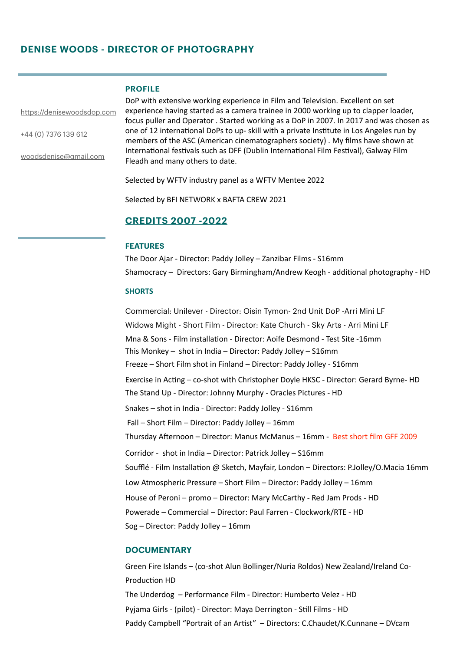# **DENISE WOODS - DIRECTOR OF PHOTOGRAPHY**

## **PROFILE**

<https://denisewoodsdop.com>

+44 (0) 7376 139 612

[woodsdenise@gmail.com](mailto:woodsdenise@gmail.com)

DoP with extensive working experience in Film and Television. Excellent on set experience having started as a camera trainee in 2000 working up to clapper loader, focus puller and Operator . Started working as a DoP in 2007. In 2017 and was chosen as one of 12 international DoPs to up- skill with a private Institute in Los Angeles run by members of the ASC (American cinematographers society) . My films have shown at International festivals such as DFF (Dublin International Film Festival), Galway Film Fleadh and many others to date.

Selected by WFTV industry panel as a WFTV Mentee 2022

Selected by BFI NETWORK x BAFTA CREW 2021

# **CREDITS 2007 -2022**

### **FEATURES**

The Door Ajar - Director: Paddy Jolley - Zanzibar Films - S16mm Shamocracy - Directors: Gary Birmingham/Andrew Keogh - additional photography - HD

## **SHORTS**

Commercial: Unilever - Director: Oisin Tymon- 2nd Unit DoP -Arri Mini LF Widows Might - Short Film - Director: Kate Church - Sky Arts - Arri Mini LF Mna & Sons - Film installation - Director: Aoife Desmond - Test Site -16mm This Monkey – shot in India – Director: Paddy Jolley –  $S16mm$ Freeze – Short Film shot in Finland – Director: Paddy Jolley - S16mm Exercise in Acting – co-shot with Christopher Doyle HKSC - Director: Gerard Byrne- HD The Stand Up - Director: Johnny Murphy - Oracles Pictures - HD Snakes - shot in India - Director: Paddy Jolley - S16mm Fall – Short Film – Director: Paddy Jolley – 16mm Thursday Afternoon - Director: Manus McManus - 16mm - Best short film GFF 2009 Corridor - shot in India - Director: Patrick Jolley - S16mm Soufflé - Film Installation @ Sketch, Mayfair, London - Directors: P.Jolley/O.Macia 16mm Low Atmospheric Pressure – Short Film – Director: Paddy Jolley – 16mm House of Peroni – promo – Director: Mary McCarthy - Red Jam Prods - HD Powerade – Commercial – Director: Paul Farren - Clockwork/RTE - HD Sog – Director: Paddy Jolley – 16mm

## **DOCUMENTARY**

Green Fire Islands - (co-shot Alun Bollinger/Nuria Roldos) New Zealand/Ireland Co-Production HD The Underdog - Performance Film - Director: Humberto Velez - HD Pyjama Girls - (pilot) - Director: Maya Derrington - Still Films - HD Paddy Campbell "Portrait of an Artist" - Directors: C.Chaudet/K.Cunnane - DVcam